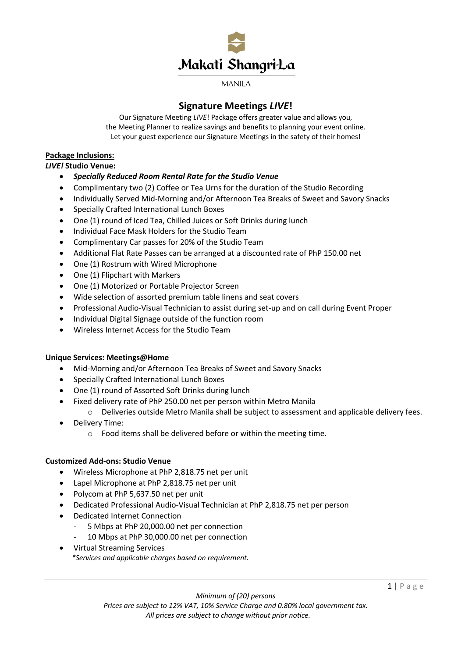

# **Signature Meetings** *LIVE***!**

Our Signature Meeting *LIVE*! Package offers greater value and allows you, the Meeting Planner to realize savings and benefits to planning your event online. Let your guest experience our Signature Meetings in the safety of their homes!

# **Package Inclusions:**

### *LIVE!* **Studio Venue:**

- *Specially Reduced Room Rental Rate for the Studio Venue*
- Complimentary two (2) Coffee or Tea Urns for the duration of the Studio Recording
- Individually Served Mid-Morning and/or Afternoon Tea Breaks of Sweet and Savory Snacks
- Specially Crafted International Lunch Boxes
- One (1) round of Iced Tea, Chilled Juices or Soft Drinks during lunch
- Individual Face Mask Holders for the Studio Team
- Complimentary Car passes for 20% of the Studio Team
- Additional Flat Rate Passes can be arranged at a discounted rate of PhP 150.00 net
- One (1) Rostrum with Wired Microphone
- One (1) Flipchart with Markers
- One (1) Motorized or Portable Projector Screen
- Wide selection of assorted premium table linens and seat covers
- Professional Audio-Visual Technician to assist during set-up and on call during Event Proper
- Individual Digital Signage outside of the function room
- Wireless Internet Access for the Studio Team

# **Unique Services: Meetings@Home**

- Mid-Morning and/or Afternoon Tea Breaks of Sweet and Savory Snacks
- Specially Crafted International Lunch Boxes
- One (1) round of Assorted Soft Drinks during lunch
- Fixed delivery rate of PhP 250.00 net per person within Metro Manila
	- o Deliveries outside Metro Manila shall be subject to assessment and applicable delivery fees.
- Delivery Time:
	- o Food items shall be delivered before or within the meeting time.

# **Customized Add-ons: Studio Venue**

- Wireless Microphone at PhP 2,818.75 net per unit
- Lapel Microphone at PhP 2,818.75 net per unit
- Polycom at PhP 5,637.50 net per unit
- Dedicated Professional Audio-Visual Technician at PhP 2,818.75 net per person
- Dedicated Internet Connection
	- 5 Mbps at PhP 20,000.00 net per connection
	- 10 Mbps at PhP 30,000.00 net per connection
- Virtual Streaming Services  *\*Services and applicable charges based on requirement.*

*Minimum of (20) persons*

*Prices are subject to 12% VAT, 10% Service Charge and 0.80% local government tax. All prices are subject to change without prior notice.*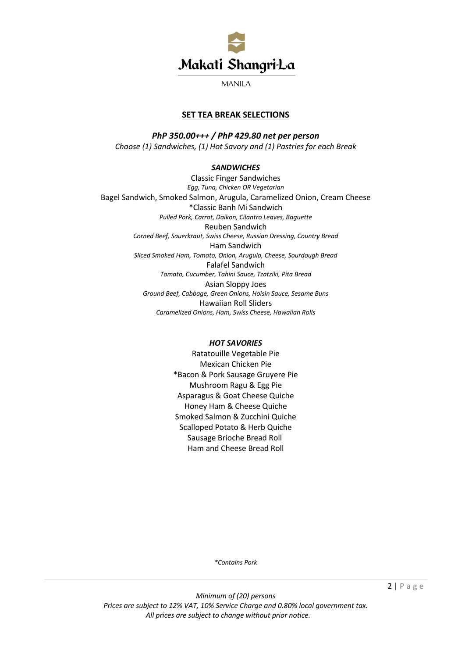

# **SET TEA BREAK SELECTIONS**

*PhP 350.00+++ / PhP 429.80 net per person Choose (1) Sandwiches, (1) Hot Savory and (1) Pastries for each Break*

### *SANDWICHES*

Classic Finger Sandwiches *Egg, Tuna, Chicken OR Vegetarian* Bagel Sandwich, Smoked Salmon, Arugula, Caramelized Onion, Cream Cheese \*Classic Banh Mi Sandwich *Pulled Pork, Carrot, Daikon, Cilantro Leaves, Baguette* Reuben Sandwich *Corned Beef, Sauerkraut, Swiss Cheese, Russian Dressing, Country Bread* Ham Sandwich *Sliced Smoked Ham, Tomato, Onion, Arugula, Cheese, Sourdough Bread* Falafel Sandwich *Tomato, Cucumber, Tahini Sauce, Tzatziki, Pita Bread* Asian Sloppy Joes *Ground Beef, Cabbage, Green Onions, Hoisin Sauce, Sesame Buns* Hawaiian Roll Sliders *Caramelized Onions, Ham, Swiss Cheese, Hawaiian Rolls*

#### *HOT SAVORIES*

Ratatouille Vegetable Pie Mexican Chicken Pie \*Bacon & Pork Sausage Gruyere Pie Mushroom Ragu & Egg Pie Asparagus & Goat Cheese Quiche Honey Ham & Cheese Quiche Smoked Salmon & Zucchini Quiche Scalloped Potato & Herb Quiche Sausage Brioche Bread Roll Ham and Cheese Bread Roll

*\*Contains Pork*

*Minimum of (20) persons Prices are subject to 12% VAT, 10% Service Charge and 0.80% local government tax. All prices are subject to change without prior notice.*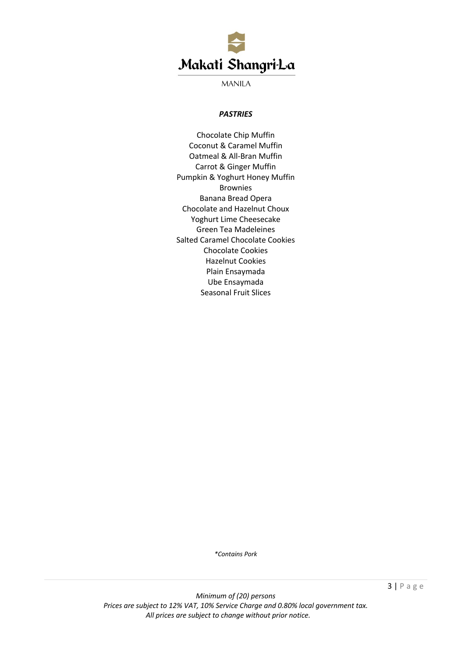

#### *PASTRIES*

Chocolate Chip Muffin Coconut & Caramel Muffin Oatmeal & All-Bran Muffin Carrot & Ginger Muffin Pumpkin & Yoghurt Honey Muffin Brownies Banana Bread Opera Chocolate and Hazelnut Choux Yoghurt Lime Cheesecake Green Tea Madeleines Salted Caramel Chocolate Cookies Chocolate Cookies Hazelnut Cookies Plain Ensaymada Ube Ensaymada Seasonal Fruit Slices

*\*Contains Pork*

3 | Page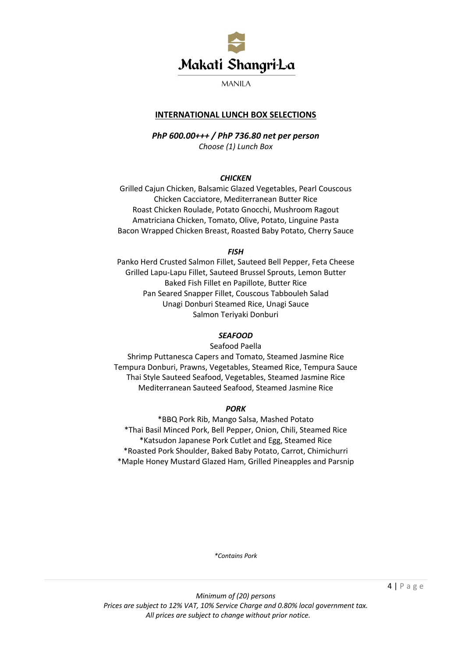

# **INTERNATIONAL LUNCH BOX SELECTIONS**

*PhP 600.00+++ / PhP 736.80 net per person Choose (1) Lunch Box* 

#### *CHICKEN*

Grilled Cajun Chicken, Balsamic Glazed Vegetables, Pearl Couscous Chicken Cacciatore, Mediterranean Butter Rice Roast Chicken Roulade, Potato Gnocchi, Mushroom Ragout Amatriciana Chicken, Tomato, Olive, Potato, Linguine Pasta Bacon Wrapped Chicken Breast, Roasted Baby Potato, Cherry Sauce

*FISH*

Panko Herd Crusted Salmon Fillet, Sauteed Bell Pepper, Feta Cheese Grilled Lapu-Lapu Fillet, Sauteed Brussel Sprouts, Lemon Butter Baked Fish Fillet en Papillote, Butter Rice Pan Seared Snapper Fillet, Couscous Tabbouleh Salad Unagi Donburi Steamed Rice, Unagi Sauce Salmon Teriyaki Donburi

### *SEAFOOD*

Seafood Paella

Shrimp Puttanesca Capers and Tomato, Steamed Jasmine Rice Tempura Donburi, Prawns, Vegetables, Steamed Rice, Tempura Sauce Thai Style Sauteed Seafood, Vegetables, Steamed Jasmine Rice Mediterranean Sauteed Seafood, Steamed Jasmine Rice

### *PORK*

\*BBQ Pork Rib, Mango Salsa, Mashed Potato \*Thai Basil Minced Pork, Bell Pepper, Onion, Chili, Steamed Rice \*Katsudon Japanese Pork Cutlet and Egg, Steamed Rice \*Roasted Pork Shoulder, Baked Baby Potato, Carrot, Chimichurri \*Maple Honey Mustard Glazed Ham, Grilled Pineapples and Parsnip

*\*Contains Pork*

*Minimum of (20) persons Prices are subject to 12% VAT, 10% Service Charge and 0.80% local government tax. All prices are subject to change without prior notice.*